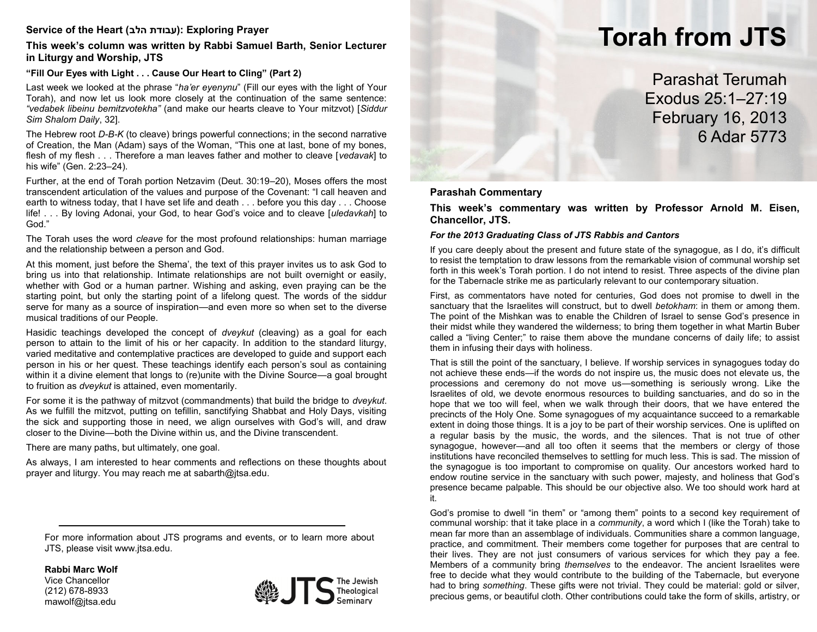# **Service of the Heart (הלב עבודת(: Exploring Prayer**

# **This week's column was written by Rabbi Samuel Barth, Senior Lecturer in Liturgy and Worship, JTS**

# **"Fill Our Eyes with Light . . . Cause Our Heart to Cling" (Part 2)**

Last week we looked at the phrase "*ha'er eyenynu*" (Fill our eyes with the light of Your Torah), and now let us look more closely at the continuation of the same sentence: *"vedabek libeinu bemitzvotekha"* (and make our hearts cleave to Your mitzvot) [*Siddur Sim Shalom Daily*, 32].

The Hebrew root *D-B-K* (to cleave) brings powerful connections; in the second narrative of Creation, the Man (Adam) says of the Woman, "This one at last, bone of my bones, flesh of my flesh . . . Therefore a man leaves father and mother to cleave [*vedavak*] to his wife" (Gen. 2:23–24).

Further, at the end of Torah portion Netzavim (Deut. 30:19–20), Moses offers the most transcendent articulation of the values and purpose of the Covenant: "I call heaven and earth to witness today, that I have set life and death . . . before you this day . . . Choose life! . . . By loving Adonai, your God, to hear God's voice and to cleave [*uledavkah*] to God."

The Torah uses the word *cleave* for the most profound relationships: human marriage and the relationship between a person and God.

At this moment, just before the Shema', the text of this prayer invites us to ask God to bring us into that relationship. Intimate relationships are not built overnight or easily, whether with God or a human partner. Wishing and asking, even praying can be the starting point, but only the starting point of a lifelong quest. The words of the siddur serve for many as a source of inspiration—and even more so when set to the diverse musical traditions of our People.

Hasidic teachings developed the concept of *dveykut* (cleaving) as a goal for each person to attain to the limit of his or her capacity. In addition to the standard liturgy, varied meditative and contemplative practices are developed to guide and support each person in his or her quest. These teachings identify each person's soul as containing within it a divine element that longs to (re)unite with the Divine Source—a goal brought to fruition as *dveykut* is attained, even momentarily.

For some it is the pathway of mitzvot (commandments) that build the bridge to *dveykut*. As we fulfill the mitzvot, putting on tefillin, sanctifying Shabbat and Holy Days, visiting the sick and supporting those in need, we align ourselves with God's will, and draw closer to the Divine—both the Divine within us, and the Divine transcendent.

There are many paths, but ultimately, one goal.

As always, I am interested to hear comments and reflections on these thoughts about prayer and liturgy. You may reach me at sabarth@jtsa.edu.

For more information about JTS programs and events, or to learn more about JTS, please visit www.jtsa.edu.

**Rabbi Marc Wolf**

Vice Chancellor (212) 678-8933 mawolf@jtsa.edu



# **Torah from JTS**

Parashat Terumah Exodus 25:1–27:19 February 16, 2013 6 Adar 5773

#### **Parashah Commentary**

**This week's commentary was written by Professor Arnold M. Eisen, Chancellor, JTS.**

#### *For the 2013 Graduating Class of JTS Rabbis and Cantors*

If you care deeply about the present and future state of the synagogue, as I do, it's difficult to resist the temptation to draw lessons from the remarkable vision of communal worship set forth in this week's Torah portion. I do not intend to resist. Three aspects of the divine plan for the Tabernacle strike me as particularly relevant to our contemporary situation.

First, as commentators have noted for centuries, God does not promise to dwell in the sanctuary that the Israelites will construct, but to dwell *betokham*: in them or among them. The point of the Mishkan was to enable the Children of Israel to sense God's presence in their midst while they wandered the wilderness; to bring them together in what Martin Buber called a "living Center;" to raise them above the mundane concerns of daily life; to assist them in infusing their days with holiness.

That is still the point of the sanctuary, I believe. If worship services in synagogues today do not achieve these ends—if the words do not inspire us, the music does not elevate us, the processions and ceremony do not move us—something is seriously wrong. Like the Israelites of old, we devote enormous resources to building sanctuaries, and do so in the hope that we too will feel, when we walk through their doors, that we have entered the precincts of the Holy One. Some synagogues of my acquaintance succeed to a remarkable extent in doing those things. It is a joy to be part of their worship services. One is uplifted on a regular basis by the music, the words, and the silences. That is not true of other synagogue, however—and all too often it seems that the members or clergy of those institutions have reconciled themselves to settling for much less. This is sad. The mission of the synagogue is too important to compromise on quality. Our ancestors worked hard to endow routine service in the sanctuary with such power, majesty, and holiness that God's presence became palpable. This should be our objective also. We too should work hard at it.

God's promise to dwell "in them" or "among them" points to a second key requirement of communal worship: that it take place in a *community*, a word which I (like the Torah) take to mean far more than an assemblage of individuals. Communities share a common language, practice, and commitment. Their members come together for purposes that are central to their lives. They are not just consumers of various services for which they pay a fee. Members of a community bring *themselves* to the endeavor. The ancient Israelites were free to decide what they would contribute to the building of the Tabernacle, but everyone had to bring *something*. These gifts were not trivial. They could be material: gold or silver, precious gems, or beautiful cloth. Other contributions could take the form of skills, artistry, or